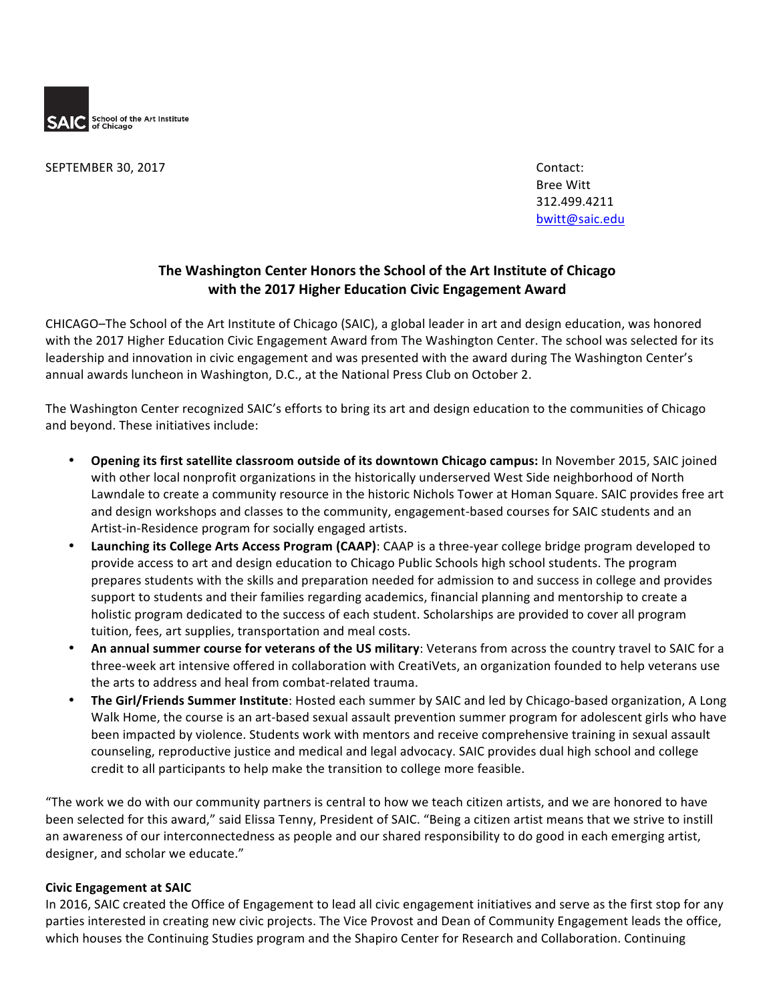

SEPTEMBER 30, 2017 Contact:

Bree Witt 312.499.4211 bwitt@saic.edu

# The Washington Center Honors the School of the Art Institute of Chicago **with the 2017 Higher Education Civic Engagement Award**

CHICAGO–The School of the Art Institute of Chicago (SAIC), a global leader in art and design education, was honored with the 2017 Higher Education Civic Engagement Award from The Washington Center. The school was selected for its leadership and innovation in civic engagement and was presented with the award during The Washington Center's annual awards luncheon in Washington, D.C., at the National Press Club on October 2.

The Washington Center recognized SAIC's efforts to bring its art and design education to the communities of Chicago and beyond. These initiatives include:

- **Opening its first satellite classroom outside of its downtown Chicago campus:** In November 2015, SAIC joined with other local nonprofit organizations in the historically underserved West Side neighborhood of North Lawndale to create a community resource in the historic Nichols Tower at Homan Square. SAIC provides free art and design workshops and classes to the community, engagement-based courses for SAIC students and an Artist-in-Residence program for socially engaged artists.
- Launching its College Arts Access Program (CAAP): CAAP is a three-year college bridge program developed to provide access to art and design education to Chicago Public Schools high school students. The program prepares students with the skills and preparation needed for admission to and success in college and provides support to students and their families regarding academics, financial planning and mentorship to create a holistic program dedicated to the success of each student. Scholarships are provided to cover all program tuition, fees, art supplies, transportation and meal costs.
- An annual summer course for veterans of the US military: Veterans from across the country travel to SAIC for a three-week art intensive offered in collaboration with CreatiVets, an organization founded to help veterans use the arts to address and heal from combat-related trauma.
- The Girl/Friends Summer Institute: Hosted each summer by SAIC and led by Chicago-based organization, A Long Walk Home, the course is an art-based sexual assault prevention summer program for adolescent girls who have been impacted by violence. Students work with mentors and receive comprehensive training in sexual assault counseling, reproductive justice and medical and legal advocacy. SAIC provides dual high school and college credit to all participants to help make the transition to college more feasible.

"The work we do with our community partners is central to how we teach citizen artists, and we are honored to have been selected for this award," said Elissa Tenny, President of SAIC. "Being a citizen artist means that we strive to instill an awareness of our interconnectedness as people and our shared responsibility to do good in each emerging artist, designer, and scholar we educate."

# **Civic Engagement at SAIC**

In 2016, SAIC created the Office of Engagement to lead all civic engagement initiatives and serve as the first stop for any parties interested in creating new civic projects. The Vice Provost and Dean of Community Engagement leads the office, which houses the Continuing Studies program and the Shapiro Center for Research and Collaboration. Continuing